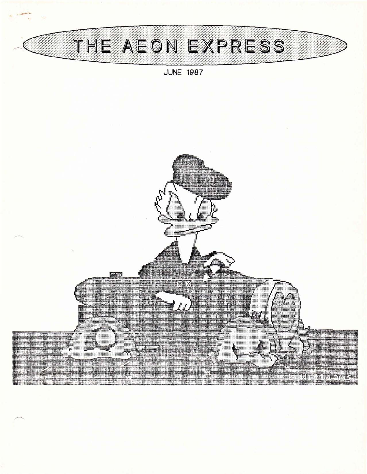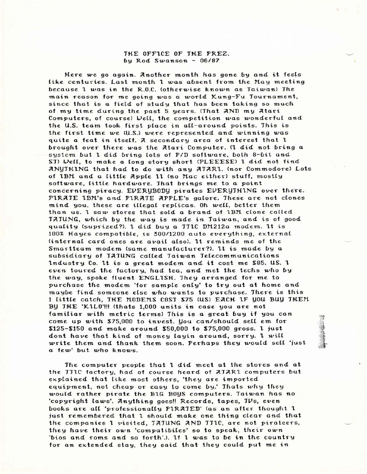### THE OFF1CE OF THE PREZ. by Rod Swanson - 06/87

Here we go again. Another month has gone by and it feels like centuries. Last month 1 was absent from the May meeting because <sup>1</sup> *was* in the R.O.C. (otherwise Rnown as Taiwan) The *main* reason for me going was *<sup>a</sup>* world Kung-Fu Tournament, since that is a field of study that has been taking so much of my time during the past 5 years. (That AND my Atari Computers, of course) Well, the competition was wonderful and the U.S. team took first place in all-around points. This is the first time we (U.S') were represented and winning *was* quite a feat in itself. A secondary area of interest that 1 brought over there was the Atari Computer. (I did not bring a system but 1 did bring lots of P/D software, both 8-bit and ST) Well, to make a long story short (PLEEESE) 1 did not find ;llNYTH1NG that *had* to do *with* any ;llT;2lR1.. *(nor* Commodore) Lots of 1BM and a little Apple 11 (no Mac either) stuff, mostly software, litHe *hardware.* That brings me to *<sup>a</sup>* point concerning piracy. EVERYBODY pirates EVERYTHING over there. PIRATE 1BM's and PIRATE APPLE's galore. These are not clones mind you, these are illegal replicas. Oh we[(, better them *than* us. 1 saw stores that sold a brand of IBM clone called TATUNG, which by the way is made in Taiwan, and is of good quality (suprized?). 1 did buy a TT1C DM212a modem. 1t is 100% Hayes compatible, is 300/1200 auto everything, external (internal card ones are *avait* alsol. lt reminds me of the *Smart*team modem (same manu facturer?l. <sup>1</sup> <sup>t</sup> is made by *<sup>a</sup>* subsidiary of TATUNG called Taiwan Telecommunications lndustry Co. lt is *<sup>a</sup>* great modem and it cost me S85. US. <sup>1</sup> even toured the factory, *had* tea, and met the techs *who* by the way, spoke fluent ENGLISH. They arranged for me to purchase the modem 'for sample only' to try out at home and maybe find someone eLse *who* wants to purchase. There is this 1 little catch, THE MODEMS COST \$75 (US) EACH IF you BUY THEM BY THE 'KILO'!!! (thats 1,000 units in case you are not famHiar *with* metric terms) This is *<sup>a</sup>* great buy if you *can* come up with \$75,000 to invest. You can/should sell em for S125-\$150 and maRe around S50,OOO to \$75,000 gross. <sup>1</sup> ;ust dont have *that* Rind of money (ayin around, sorry. <sup>1</sup> wit( write them and thank them soon. Perhaps they would sell 'just <sup>a</sup> few' but who Rnows.

The computer people *that* <sup>1</sup> did meet *at* the stores and *at* the JJ1C factory, had of course heard of AJAR1 computers but explained that like most others, 'they are imported equipment, not cheap or easy to come by.' Thats why they wouLd *rather* pirate the B1G BOYS computers. Taiwan *has* no 'copyright laws'. Anything goes!! Records, tapes, JVs, even books are all 'professionally PIRATED' (as an after thought 1 just remembered that 1 should make one thing clear and that the companies 1 visited, JAJUNG AND JJ1C, are not pirateers, they *have* their *own 'compa* ti-bites' so to speaR, their *own* 'bios and roms and so forth'.). If I was to be in the country for an extended stay, they said that they could put me in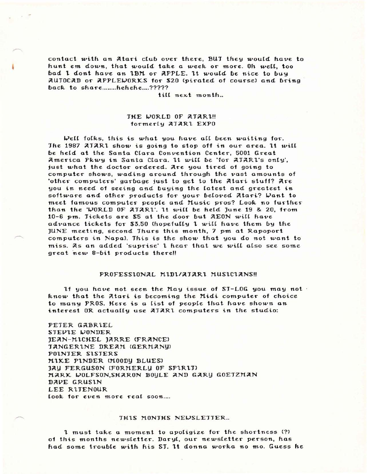contact with an Atari club over there, BUT they would have to hunt em down, that would take a week or more. Oh well, too bad 1 dont have an 1BM or APPLE. It would be nice to buy AUTOCAD or APPLEWORKS for \$20 (pirated of course) and bring back to share.......hehehe....?????

till next month...

## THE WORLD OF ATARL!! formerly ATAR1 EXPO

Well folks, this is what you have all been waiting for. The 1987 ATAR1 show is going to stop off in our area. It will be held at the Santa Clara Convention Center, 5001 Great America Pkwy in Santa Clara. It will be 'for AJAR1's only', just what the doctor ordered. Are you tired of going to computer shows, wading around through the vast amounts of 'other computers' garbage just to get to the Atari stuff? Are you in need of seeing and buying the latest and greatest in software and other products for your beloved Atari? Want to meet famous computer people and Music pros? Look no further than the 'WORLD OF ATAR1'. It will be held June 19 & 20, from 10-6 pm. Tickets are \$5 at the door but AEON will have advance tickets for \$3.50 (hopefully 1 will have them by the JUNE meeting, second Thurs this month, 7 pm at Rapoport computers in Napa). This is the show that you do not want to miss. As an added 'suprise' 1 hear that we will also see some great new 8-bit products there!!

### PROFESSIONAL MIDI/ATARI MUSICIANS!!

If you have not seen the May issue of ST-LOG you may not know that the Atari is becoming the Midi computer of choice to many PROS. Here is a list of people that have shown an interest OR actually use ATAR1 computers in the studio:

PETER GABRIEL STEVIE WONDER JEAN-MICHEL JARRE (FRANCE) **JANGERINE DREAM (GERMANU)** POINTER SISTERS MIKE PINDER (MOODY BLUES) JAY FERGUSON (FORMERLY OF SPIRIT) MARK WOLFSON, SHARON BOYLE AND GARY GOETZMAN DAVE GRUSIN LEE RITENOUR look for even more real soon....

#### THIS MONTHS NEWSLETTER...

1 must take a moment to apoligize for the shortness (?) of this months newsletter. Daryl, our newsletter person, has had some trouble with his ST. It donna worka no mo. Guess he